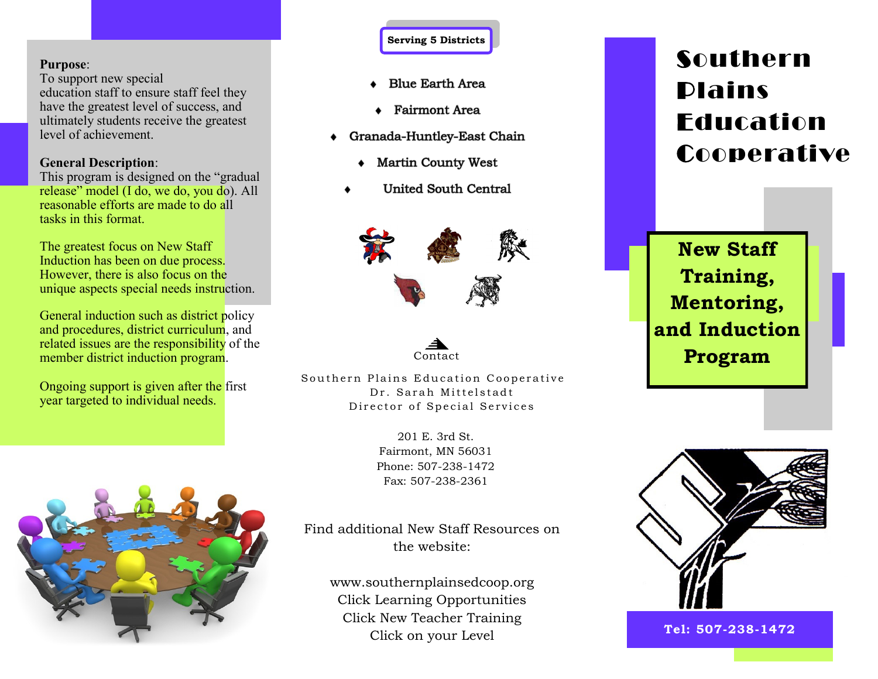### **Purpose**:

To support new special education staff to ensure staff feel they have the greatest level of success, and ultimately students receive the greatest level of achievement.

## **General Description**:

This program is designed on the "gradual release" model (I do, we do, you do). All reasonable efforts are made to do all tasks in this format.

The greatest focus on New Staff Induction has been on due process. However, there is also focus on the unique aspects special needs instruction.

General induction such as district policy and procedures, district curriculum, and related issues are the responsibility of the member district induction program.

Ongoing support is given after the first year targeted to individual needs.



## **Serving 5 Districts**

- **Blue Earth Area**
- **Fairmont Area**
- + Granada-Huntley-East Chain
	- **Martin County West**
	- **United South Central**





Southern Plains Education Cooperative Dr. Sarah Mittelstadt Director of Special Services

> 201 E. 3rd St. Fairmont, MN 56031 Phone: 507-238-1472 Fax: 507-238-2361

Find additional New Staff Resources on the website:

www.southernplainsedcoop.org Click Learning Opportunities Click New Teacher Training Click on your Level

# Southern Plains Education Cooperative

**New Staff Training, Mentoring, and Induction Program**